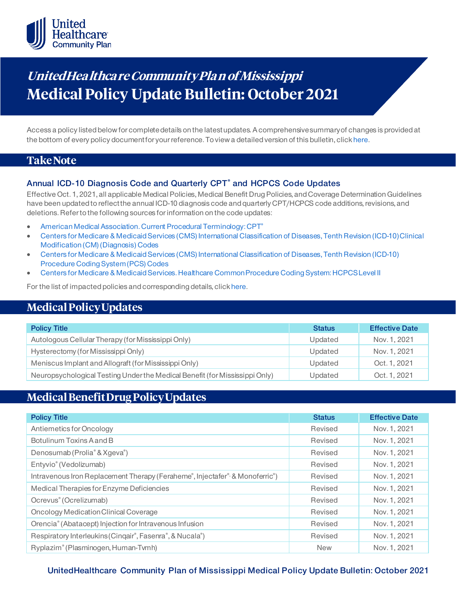

# **UnitedHea lthca re Community Pla n of Mississippi Medical Policy Update Bulletin: October 2021**

Access a policy listed below for complete details on the latest updates. A comprehensive summary of changes is provided at the bottom of every policy document for your reference. To view a detailed version of this bulletin, clic[k here](https://www.uhcprovider.com/content/dam/provider/docs/public/policies/mpub-archives/comm-plan/ms/community-plan-ms-medical-policy-update-bulletin-October-2021-full.pdf).

### **Take Note**

### **Annual ICD-10 Diagnosis Code and Quarterly CPT® and HCPCS Code Updates**

Effective Oct. 1, 2021, all applicable Medical Policies, Medical Benefit Drug Policies, and Coverage Determination Guidelines have been updated to reflect the annual ICD-10 diagnosis code and quarterly CPT/HCPCS code additions, revisions, and deletions. Refer to the following sources for information on the code updates:

- [American Medical Association. Current Procedural Terminology: CPT®](https://www.ama-assn.org/practice-management/cpt)
- [Centers for Medicare & Medicaid Services \(CMS\) International Classification of Diseases, Tenth Revision \(ICD-10\) Clinical](https://www.cms.gov/medicare/icd-10/2021-icd-10-cm)  [Modification \(CM\) \(Diagnosis\) Codes](https://www.cms.gov/medicare/icd-10/2021-icd-10-cm)
- [Centers for Medicare & Medicaid Services \(CMS\) International Classification of Diseases, Tenth Revision \(ICD-10\)](https://www.cms.gov/medicare/icd-10/2021-icd-10-pcs)  [Procedure Coding System \(PCS\) Codes](https://www.cms.gov/medicare/icd-10/2021-icd-10-pcs)
- [Centers for Medicare & Medicaid Services. Healthcare Common Procedure Coding System: HCPCS Level II](https://www.cms.gov/Medicare/Coding/MedHCPCSGenInfo/index.html)

For the list of impacted policies and corresponding details, clic[k here](https://www.uhcprovider.com/content/dam/provider/docs/public/policies/mpub-archives/comm-plan/ms/community-plan-ms-medical-policy-update-bulletin-october-2021-full.pdf).

## **Medical Policy Updates**

| <b>Policy Title</b>                                                         | <b>Status</b> | <b>Effective Date</b> |
|-----------------------------------------------------------------------------|---------------|-----------------------|
| Autologous Cellular Therapy (for Mississippi Only)                          | Updated       | Nov. 1, 2021          |
| Hysterectomy (for Mississippi Only)                                         | Updated       | Nov. 1, 2021          |
| Meniscus Implant and Allograft (for Mississippi Only)                       | Updated       | Oct. 1, 2021          |
| Neuropsychological Testing Under the Medical Benefit (for Mississippi Only) | Updated       | Oct. 1, 2021          |

# **Medical Benefit Drug Policy Updates**

| <b>Policy Title</b>                                                         | <b>Status</b> | <b>Effective Date</b> |
|-----------------------------------------------------------------------------|---------------|-----------------------|
| Antiemetics for Oncology                                                    | Revised       | Nov. 1, 2021          |
| Botulinum Toxins A and B                                                    | Revised       | Nov. 1, 2021          |
| Denosumab (Prolia® & Xgeva®)                                                | Revised       | Nov. 1, 2021          |
| Entyvio® (Vedolizumab)                                                      | Revised       | Nov. 1, 2021          |
| Intravenous Iron Replacement Therapy (Feraheme®, Injectafer® & Monoferric®) | Revised       | Nov. 1, 2021          |
| Medical Therapies for Enzyme Deficiencies                                   | Revised       | Nov. 1, 2021          |
| Ocrevus <sup>®</sup> (Ocrelizumab)                                          | Revised       | Nov. 1, 2021          |
| Oncology Medication Clinical Coverage                                       | Revised       | Nov. 1, 2021          |
| Orencia® (Abatacept) Injection for Intravenous Infusion                     | Revised       | Nov. 1, 2021          |
| Respiratory Interleukins (Cinqair®, Fasenra®, & Nucala®)                    | Revised       | Nov. 1, 2021          |
| Ryplazim® (Plasminogen, Human-Tvmh)                                         | <b>New</b>    | Nov. 1, 2021          |

### **UnitedHealthcare Community Plan of Mississippi Medical Policy Update Bulletin: October 2021**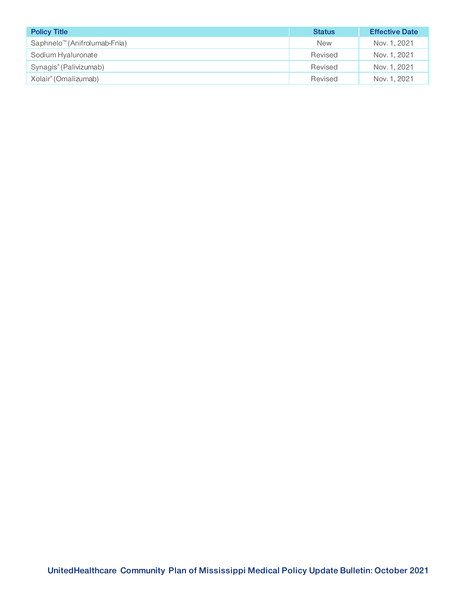| <b>Policy Title</b>                      | <b>Status</b> | <b>Effective Date</b> |
|------------------------------------------|---------------|-----------------------|
| Saphnelo <sup>™</sup> (Anifrolumab-Fnia) | <b>New</b>    | Nov. 1, 2021          |
| Sodium Hyaluronate                       | Revised       | Nov. 1, 2021          |
| Synagis <sup>®</sup> (Palivizumab)       | Revised       | Nov. 1, 2021          |
| Xolair <sup>®</sup> (Omalizumab)         | Revised       | Nov. 1, 2021          |